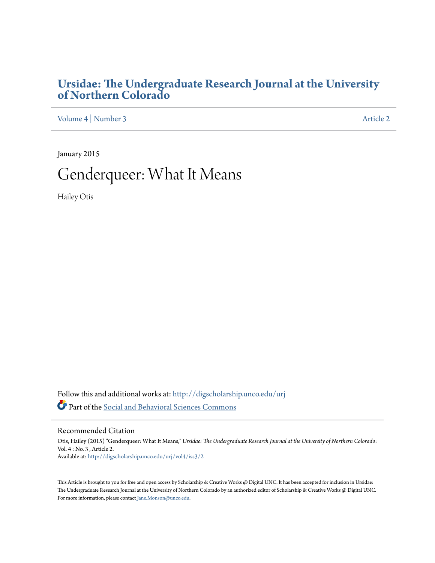## **[Ursidae: The Undergraduate Research Journal at the University](http://digscholarship.unco.edu/urj?utm_source=digscholarship.unco.edu%2Furj%2Fvol4%2Fiss3%2F2&utm_medium=PDF&utm_campaign=PDFCoverPages) [of Northern Colorado](http://digscholarship.unco.edu/urj?utm_source=digscholarship.unco.edu%2Furj%2Fvol4%2Fiss3%2F2&utm_medium=PDF&utm_campaign=PDFCoverPages)**

[Volume 4](http://digscholarship.unco.edu/urj/vol4?utm_source=digscholarship.unco.edu%2Furj%2Fvol4%2Fiss3%2F2&utm_medium=PDF&utm_campaign=PDFCoverPages) | [Number 3](http://digscholarship.unco.edu/urj/vol4/iss3?utm_source=digscholarship.unco.edu%2Furj%2Fvol4%2Fiss3%2F2&utm_medium=PDF&utm_campaign=PDFCoverPages) [Article 2](http://digscholarship.unco.edu/urj/vol4/iss3/2?utm_source=digscholarship.unco.edu%2Furj%2Fvol4%2Fiss3%2F2&utm_medium=PDF&utm_campaign=PDFCoverPages)

January 2015

# Genderqueer: What It Means

Hailey Otis

Follow this and additional works at: [http://digscholarship.unco.edu/urj](http://digscholarship.unco.edu/urj?utm_source=digscholarship.unco.edu%2Furj%2Fvol4%2Fiss3%2F2&utm_medium=PDF&utm_campaign=PDFCoverPages) Part of the [Social and Behavioral Sciences Commons](http://network.bepress.com/hgg/discipline/316?utm_source=digscholarship.unco.edu%2Furj%2Fvol4%2Fiss3%2F2&utm_medium=PDF&utm_campaign=PDFCoverPages)

Recommended Citation

Otis, Hailey (2015) "Genderqueer: What It Means," *Ursidae: The Undergraduate Research Journal at the University of Northern Colorado*: Vol. 4 : No. 3 , Article 2. Available at: [http://digscholarship.unco.edu/urj/vol4/iss3/2](http://digscholarship.unco.edu/urj/vol4/iss3/2?utm_source=digscholarship.unco.edu%2Furj%2Fvol4%2Fiss3%2F2&utm_medium=PDF&utm_campaign=PDFCoverPages)

This Article is brought to you for free and open access by Scholarship & Creative Works @ Digital UNC. It has been accepted for inclusion in Ursidae: The Undergraduate Research Journal at the University of Northern Colorado by an authorized editor of Scholarship & Creative Works @ Digital UNC. For more information, please contact [Jane.Monson@unco.edu.](mailto:Jane.Monson@unco.edu)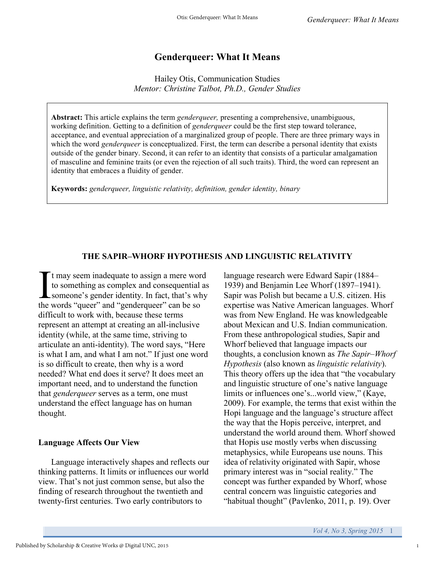## **Genderqueer: What It Means**

Hailey Otis, Communication Studies *Mentor: Christine Talbot, Ph.D., Gender Studies*

**Abstract:** This article explains the term *genderqueer,* presenting a comprehensive, unambiguous, working definition. Getting to a definition of *genderqueer* could be the first step toward tolerance, acceptance, and eventual appreciation of a marginalized group of people. There are three primary ways in which the word *genderqueer* is conceptualized. First, the term can describe a personal identity that exists outside of the gender binary. Second, it can refer to an identity that consists of a particular amalgamation of masculine and feminine traits (or even the rejection of all such traits). Third, the word can represent an identity that embraces a fluidity of gender.

**Keywords:** *genderqueer, linguistic relativity, definition, gender identity, binary*

#### **THE SAPIR–WHORF HYPOTHESIS AND LINGUISTIC RELATIVITY**

It may seem inadequate to assign a mere wor<br>to something as complex and consequential<br>someone's gender identity. In fact, that's wh<br>the words "queer" and "genderqueer" can be so t may seem inadequate to assign a mere word to something as complex and consequential as someone's gender identity. In fact, that's why difficult to work with, because these terms represent an attempt at creating an all-inclusive identity (while, at the same time, striving to articulate an anti-identity). The word says, "Here is what I am, and what I am not." If just one word is so difficult to create, then why is a word needed? What end does it serve? It does meet an important need, and to understand the function that *genderqueer* serves as a term, one must understand the effect language has on human thought.

#### **Language Affects Our View**

Language interactively shapes and reflects our thinking patterns. It limits or influences our world view. That's not just common sense, but also the finding of research throughout the twentieth and twenty-first centuries. Two early contributors to

language research were Edward Sapir (1884– 1939) and Benjamin Lee Whorf (1897–1941). Sapir was Polish but became a U.S. citizen. His expertise was Native American languages. Whorf was from New England. He was knowledgeable about Mexican and U.S. Indian communication. From these anthropological studies, Sapir and Whorf believed that language impacts our thoughts, a conclusion known as *The Sapir–Whorf Hypothesis* (also known as *linguistic relativity*). This theory offers up the idea that "the vocabulary and linguistic structure of one's native language limits or influences one's...world view," (Kaye, 2009). For example, the terms that exist within the Hopi language and the language's structure affect the way that the Hopis perceive, interpret, and understand the world around them. Whorf showed that Hopis use mostly verbs when discussing metaphysics, while Europeans use nouns. This idea of relativity originated with Sapir, whose primary interest was in "social reality." The concept was further expanded by Whorf, whose central concern was linguistic categories and "habitual thought" (Pavlenko, 2011, p. 19). Over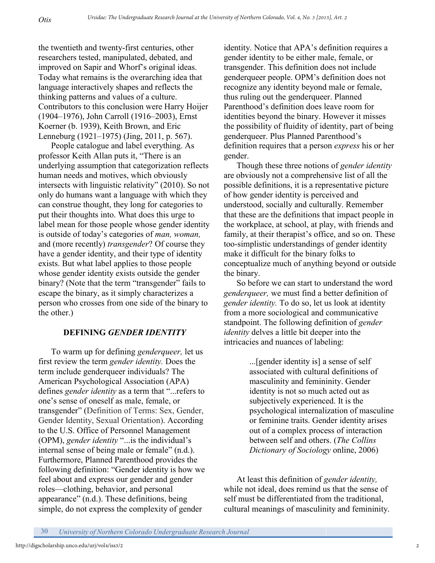the twentieth and twenty-first centuries, other researchers tested, manipulated, debated, and improved on Sapir and Whorf's original ideas. Today what remains is the overarching idea that language interactively shapes and reflects the thinking patterns and values of a culture. Contributors to this conclusion were Harry Hoijer (1904–1976), John Carroll (1916–2003), Ernst Koerner (b. 1939), Keith Brown, and Eric Lenneburg (1921–1975) (Jing, 2011, p. 567).

People catalogue and label everything. As professor Keith Allan puts it, "There is an underlying assumption that categorization reflects human needs and motives, which obviously intersects with linguistic relativity" (2010). So not only do humans want a language with which they can construe thought, they long for categories to put their thoughts into. What does this urge to label mean for those people whose gender identity is outside of today's categories of *man, woman,*  and (more recently) *transgender*? Of course they have a gender identity, and their type of identity exists. But what label applies to those people whose gender identity exists outside the gender binary? (Note that the term "transgender" fails to escape the binary, as it simply characterizes a person who crosses from one side of the binary to the other.)

#### **DEFINING** *GENDER IDENTITY*

To warm up for defining *genderqueer,* let us first review the term *gender identity.* Does the term include genderqueer individuals? The American Psychological Association (APA) defines *gender identity* as a term that "...refers to one's sense of oneself as male, female, or transgender" (Definition of Terms: Sex, Gender, Gender Identity, Sexual Orientation). According to the U.S. Office of Personnel Management (OPM), *gender identity* "...is the individual's internal sense of being male or female" (n.d.). Furthermore, Planned Parenthood provides the following definition: "Gender identity is how we feel about and express our gender and gender roles—clothing, behavior, and personal appearance" (n.d.). These definitions, being simple, do not express the complexity of gender

identity. Notice that APA's definition requires a gender identity to be either male, female, or transgender. This definition does not include genderqueer people. OPM's definition does not recognize any identity beyond male or female, thus ruling out the genderqueer. Planned Parenthood's definition does leave room for identities beyond the binary. However it misses the possibility of fluidity of identity, part of being genderqueer. Plus Planned Parenthood's definition requires that a person *express* his or her gender.

Though these three notions of *gender identity*  are obviously not a comprehensive list of all the possible definitions, it is a representative picture of how gender identity is perceived and understood, socially and culturally. Remember that these are the definitions that impact people in the workplace, at school, at play, with friends and family, at their therapist's office, and so on. These too-simplistic understandings of gender identity make it difficult for the binary folks to conceptualize much of anything beyond or outside the binary.

So before we can start to understand the word *genderqueer,* we must find a better definition of *gender identity.* To do so, let us look at identity from a more sociological and communicative standpoint. The following definition of *gender identity* delves a little bit deeper into the intricacies and nuances of labeling:

> ...[gender identity is] a sense of self associated with cultural definitions of masculinity and femininity. Gender identity is not so much acted out as subjectively experienced. It is the psychological internalization of masculine or feminine traits. Gender identity arises out of a complex process of interaction between self and others. (*The Collins Dictionary of Sociology* online, 2006)

At least this definition of *gender identity,*  while not ideal, does remind us that the sense of self must be differentiated from the traditional, cultural meanings of masculinity and femininity.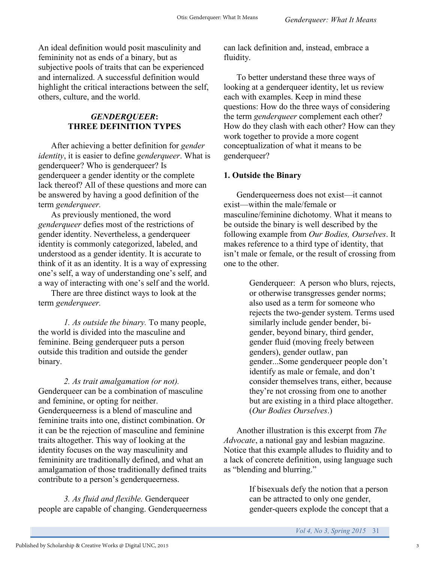An ideal definition would posit masculinity and femininity not as ends of a binary, but as subjective pools of traits that can be experienced and internalized. A successful definition would highlight the critical interactions between the self, others, culture, and the world.

#### *GENDERQUEER***: THREE DEFINITION TYPES**

After achieving a better definition for *gender identity*, it is easier to define *genderqueer*. What is genderqueer? Who is genderqueer? Is genderqueer a gender identity or the complete lack thereof? All of these questions and more can be answered by having a good definition of the term *genderqueer.*

As previously mentioned, the word *genderqueer* defies most of the restrictions of gender identity. Nevertheless, a genderqueer identity is commonly categorized, labeled, and understood as a gender identity. It is accurate to think of it as an identity. It is a way of expressing one's self, a way of understanding one's self, and a way of interacting with one's self and the world.

There are three distinct ways to look at the term *genderqueer.*

*1. As outside the binary.* To many people, the world is divided into the masculine and feminine. Being genderqueer puts a person outside this tradition and outside the gender binary.

*2. As trait amalgamation (or not).*  Genderqueer can be a combination of masculine and feminine, or opting for neither. Genderqueerness is a blend of masculine and feminine traits into one, distinct combination. Or it can be the rejection of masculine and feminine traits altogether. This way of looking at the identity focuses on the way masculinity and femininity are traditionally defined, and what an amalgamation of those traditionally defined traits contribute to a person's genderqueerness.

*3. As fluid and flexible.* Genderqueer people are capable of changing. Genderqueerness can lack definition and, instead, embrace a fluidity.

To better understand these three ways of looking at a genderqueer identity, let us review each with examples. Keep in mind these questions: How do the three ways of considering the term *genderqueer* complement each other? How do they clash with each other? How can they work together to provide a more cogent conceptualization of what it means to be genderqueer?

#### **1. Outside the Binary**

Genderqueerness does not exist—it cannot exist—within the male/female or masculine/feminine dichotomy. What it means to be outside the binary is well described by the following example from *Our Bodies, Ourselves*. It makes reference to a third type of identity, that isn't male or female, or the result of crossing from one to the other.

> Genderqueer: A person who blurs, rejects, or otherwise transgresses gender norms; also used as a term for someone who rejects the two-gender system. Terms used similarly include gender bender, bigender, beyond binary, third gender, gender fluid (moving freely between genders), gender outlaw, pan gender...Some genderqueer people don't identify as male or female, and don't consider themselves trans, either, because they're not crossing from one to another but are existing in a third place altogether. (*Our Bodies Ourselves*.)

Another illustration is this excerpt from *The Advocate*, a national gay and lesbian magazine. Notice that this example alludes to fluidity and to a lack of concrete definition, using language such as "blending and blurring."

> If bisexuals defy the notion that a person can be attracted to only one gender, gender-queers explode the concept that a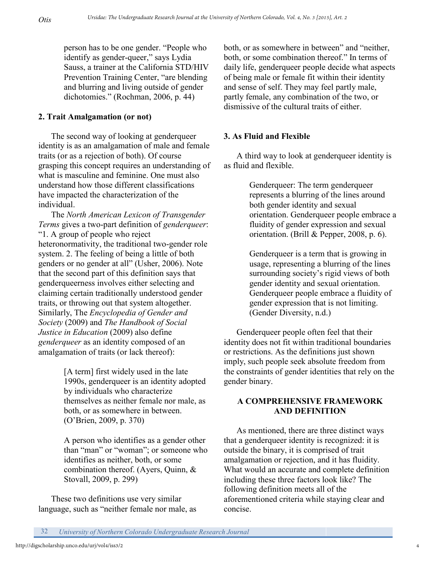person has to be one gender. "People who identify as gender-queer," says Lydia Sauss, a trainer at the California STD/HIV Prevention Training Center, "are blending and blurring and living outside of gender dichotomies." (Rochman, 2006, p. 44)

#### **2. Trait Amalgamation (or not)**

The second way of looking at genderqueer identity is as an amalgamation of male and female traits (or as a rejection of both). Of course grasping this concept requires an understanding of what is masculine and feminine. One must also understand how those different classifications have impacted the characterization of the individual.

The *North American Lexicon of Transgender Terms* gives a two-part definition of *genderqueer*: "1. A group of people who reject heteronormativity, the traditional two-gender role system. 2. The feeling of being a little of both genders or no gender at all" (Usher, 2006). Note that the second part of this definition says that genderqueerness involves either selecting and claiming certain traditionally understood gender traits, or throwing out that system altogether. Similarly, The *Encyclopedia of Gender and Society* (2009) and *The Handbook of Social Justice in Education* (2009) also define *genderqueer* as an identity composed of an amalgamation of traits (or lack thereof):

> [A term] first widely used in the late 1990s, genderqueer is an identity adopted by individuals who characterize themselves as neither female nor male, as both, or as somewhere in between. (O'Brien, 2009, p. 370)

> A person who identifies as a gender other than "man" or "woman"; or someone who identifies as neither, both, or some combination thereof. (Ayers, Quinn, & Stovall, 2009, p. 299)

These two definitions use very similar language, such as "neither female nor male, as both, or as somewhere in between" and "neither, both, or some combination thereof." In terms of daily life, genderqueer people decide what aspects of being male or female fit within their identity and sense of self. They may feel partly male, partly female, any combination of the two, or dismissive of the cultural traits of either.

### **3. As Fluid and Flexible**

A third way to look at genderqueer identity is as fluid and flexible.

> Genderqueer: The term genderqueer represents a blurring of the lines around both gender identity and sexual orientation. Genderqueer people embrace a fluidity of gender expression and sexual orientation. (Brill & Pepper, 2008, p. 6).

Genderqueer is a term that is growing in usage, representing a blurring of the lines surrounding society's rigid views of both gender identity and sexual orientation. Genderqueer people embrace a fluidity of gender expression that is not limiting. (Gender Diversity, n.d.)

Genderqueer people often feel that their identity does not fit within traditional boundaries or restrictions. As the definitions just shown imply, such people seek absolute freedom from the constraints of gender identities that rely on the gender binary.

#### **A COMPREHENSIVE FRAMEWORK AND DEFINITION**

As mentioned, there are three distinct ways that a genderqueer identity is recognized: it is outside the binary, it is comprised of trait amalgamation or rejection, and it has fluidity. What would an accurate and complete definition including these three factors look like? The following definition meets all of the aforementioned criteria while staying clear and concise.

32 *University of Northern Colorado Undergraduate Research Journal*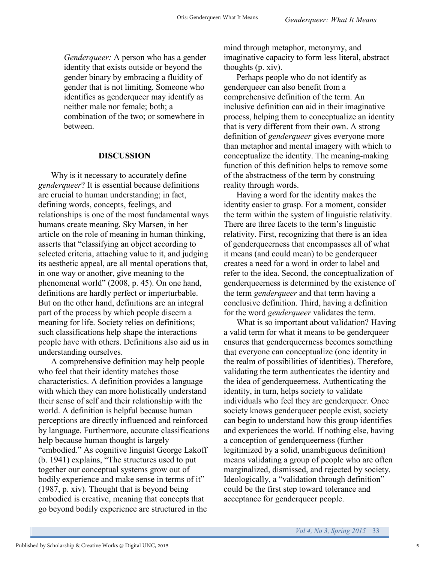*Genderqueer:* A person who has a gender identity that exists outside or beyond the gender binary by embracing a fluidity of gender that is not limiting. Someone who identifies as genderqueer may identify as neither male nor female; both; a combination of the two; or somewhere in between.

#### **DISCUSSION**

Why is it necessary to accurately define *genderqueer*? It is essential because definitions are crucial to human understanding; in fact, defining words, concepts, feelings, and relationships is one of the most fundamental ways humans create meaning. Sky Marsen, in her article on the role of meaning in human thinking, asserts that "classifying an object according to selected criteria, attaching value to it, and judging its aesthetic appeal, are all mental operations that, in one way or another, give meaning to the phenomenal world" (2008, p. 45). On one hand, definitions are hardly perfect or imperturbable. But on the other hand, definitions are an integral part of the process by which people discern a meaning for life. Society relies on definitions; such classifications help shape the interactions people have with others. Definitions also aid us in understanding ourselves.

A comprehensive definition may help people who feel that their identity matches those characteristics. A definition provides a language with which they can more holistically understand their sense of self and their relationship with the world. A definition is helpful because human perceptions are directly influenced and reinforced by language. Furthermore, accurate classifications help because human thought is largely "embodied." As cognitive linguist George Lakoff (b. 1941) explains, "The structures used to put together our conceptual systems grow out of bodily experience and make sense in terms of it" (1987, p. xiv). Thought that is beyond being embodied is creative, meaning that concepts that go beyond bodily experience are structured in the

mind through metaphor, metonymy, and imaginative capacity to form less literal, abstract thoughts (p. xiv).

Perhaps people who do not identify as genderqueer can also benefit from a comprehensive definition of the term. An inclusive definition can aid in their imaginative process, helping them to conceptualize an identity that is very different from their own. A strong definition of *genderqueer* gives everyone more than metaphor and mental imagery with which to conceptualize the identity. The meaning-making function of this definition helps to remove some of the abstractness of the term by construing reality through words.

Having a word for the identity makes the identity easier to grasp. For a moment, consider the term within the system of linguistic relativity. There are three facets to the term's linguistic relativity. First, recognizing that there is an idea of genderqueerness that encompasses all of what it means (and could mean) to be genderqueer creates a need for a word in order to label and refer to the idea. Second, the conceptualization of genderqueerness is determined by the existence of the term *genderqueer* and that term having a conclusive definition. Third, having a definition for the word *genderqueer* validates the term.

What is so important about validation? Having a valid term for what it means to be genderqueer ensures that genderqueerness becomes something that everyone can conceptualize (one identity in the realm of possibilities of identities). Therefore, validating the term authenticates the identity and the idea of genderqueerness. Authenticating the identity, in turn, helps society to validate individuals who feel they are genderqueer. Once society knows genderqueer people exist, society can begin to understand how this group identifies and experiences the world. If nothing else, having a conception of genderqueerness (further legitimized by a solid, unambiguous definition) means validating a group of people who are often marginalized, dismissed, and rejected by society. Ideologically, a "validation through definition" could be the first step toward tolerance and acceptance for genderqueer people.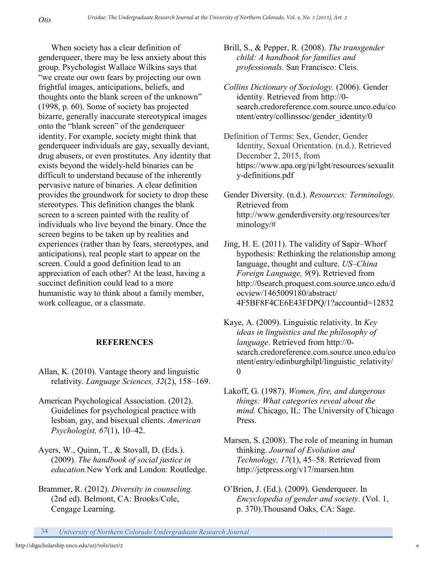When society has a clear definition of genderqueer, there may be less anxiety about this group. Psychologist Wallace Wilkins says that "we create our own fears by projecting our own frightful images, anticipations, beliefs, and thoughts onto the blank screen of the unknown" (1998, p. 60). Some of society has projected bizarre, generally inaccurate stereotypical images onto the "blank screen" of the genderqueer identity. For example, society might think that genderqueer individuals are gay, sexually deviant, drug abusers, or even prostitutes. Any identity that exists beyond the widely-held binaries can be difficult to understand because of the inherently pervasive nature of binaries. A clear definition provides the groundwork for society to drop these stereotypes. This definition changes the blank screen to a screen painted with the reality of individuals who live beyond the binary. Once the screen begins to be taken up by realities and experiences (rather than by fears, stereotypes, and anticipations), real people start to appear on the screen. Could a good definition lead to an appreciation of each other? At the least, having a succinct definition could lead to a more humanistic way to think about a family member, work colleague, or a classmate.

*Otis*

#### **REFERENCES**

- Allan, K. (2010). Vantage theory and linguistic relativity. *Language Sciences, 32*(2), 158–169.
- American Psychological Association. (2012). Guidelines for psychological practice with lesbian, gay, and bisexual clients. *American Psychologist, 67*(1), 10–42.
- Ayers, W., Quinn, T., & Stovall, D. (Eds.). (2009). *The handbook of social justice in education.*New York and London: Routledge.
- Brammer, R. (2012). *Diversity in counseling.*  (2nd ed). Belmont, CA: Brooks/Cole, Cengage Learning.

Brill, S., & Pepper, R. (2008). *The transgender child: A handbook for families and professionals.* San Francisco: Cleis.

- *Collins Dictionary of Sociology.* (2006). Gender identity. Retrieved from http://0 search.credoreference.com.source.unco.edu/co ntent/entry/collinssoc/gender\_identity/0
- Definition of Terms: Sex, Gender, Gender Identity, Sexual Orientation. (n.d.). Retrieved December 2, 2015, from https://www.apa.org/pi/lgbt/resources/sexualit y-definitions.pdf
- Gender Diversity. (n.d.). *Resources: Terminology.* Retrieved from http://www.genderdiversity.org/resources/ter minology/#
- Jing, H. E. (2011). The validity of Sapir–Whorf hypothesis: Rethinking the relationship among language, thought and culture. *US–China Foreign Language, 9*(9). Retrieved from http://0search.proquest.com.source.unco.edu/d ocview/1465009180/abstract/ 4F5BF8F4CE6E43FDPQ/1?accountid=12832
- Kaye, A. (2009). Linguistic relativity. In *Key ideas in linguistics and the philosophy of language*. Retrieved from http://0 search.credoreference.com.source.unco.edu/co ntent/entry/edinburghilpl/linguistic\_relativity/  $\theta$
- Lakoff, G. (1987). *Women, fire, and dangerous things: What categories reveal about the mind.* Chicago, IL: The University of Chicago Press.
- Marsen, S. (2008). The role of meaning in human thinking. *Journal of Evolution and Technology, 17*(1), 45–58. Retrieved from http://jetpress.org/v17/marsen.htm
- O'Brien, J. (Ed.). (2009). Genderqueer. In *Encyclopedia of gender and society*. (Vol. 1, p. 370).Thousand Oaks, CA: Sage.
- 34 *University of Northern Colorado Undergraduate Research Journal*